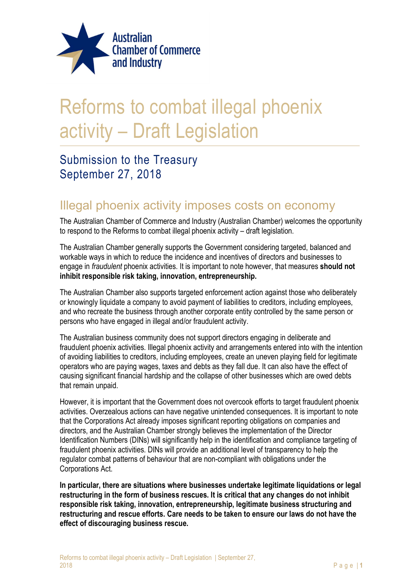

## Reforms to combat illegal phoenix activity – Draft Legislation

### Submission to the Treasury September 27, 2018

#### Illegal phoenix activity imposes costs on economy

The Australian Chamber of Commerce and Industry (Australian Chamber) welcomes the opportunity to respond to the Reforms to combat illegal phoenix activity – draft legislation.

The Australian Chamber generally supports the Government considering targeted, balanced and workable ways in which to reduce the incidence and incentives of directors and businesses to engage in *fraudulent* phoenix activities. It is important to note however, that measures **should not** inhibit responsible risk taking, innovation, entrepreneurship.

The Australian Chamber also supports targeted enforcement action against those who deliberately or knowingly liquidate a company to avoid payment of liabilities to creditors, including employees, and who recreate the business through another corporate entity controlled by the same person or persons who have engaged in illegal and/or fraudulent activity.

The Australian business community does not support directors engaging in deliberate and fraudulent phoenix activities. Illegal phoenix activity and arrangements entered into with the intention of avoiding liabilities to creditors, including employees, create an uneven playing field for legitimate operators who are paying wages, taxes and debts as they fall due. It can also have the effect of causing significant financial hardship and the collapse of other businesses which are owed debts that remain unpaid.

However, it is important that the Government does not overcook efforts to target fraudulent phoenix activities. Overzealous actions can have negative unintended consequences. It is important to note that the Corporations Act already imposes significant reporting obligations on companies and directors, and the Australian Chamber strongly believes the implementation of the Director Identification Numbers (DINs) will significantly help in the identification and compliance targeting of fraudulent phoenix activities. DINs will provide an additional level of transparency to help the regulator combat patterns of behaviour that are non-compliant with obligations under the Corporations Act.

In particular, there are situations where businesses undertake legitimate liquidations or legal restructuring in the form of business rescues. It is critical that any changes do not inhibit responsible risk taking, innovation, entrepreneurship, legitimate business structuring and restructuring and rescue efforts. Care needs to be taken to ensure our laws do not have the effect of discouraging business rescue.